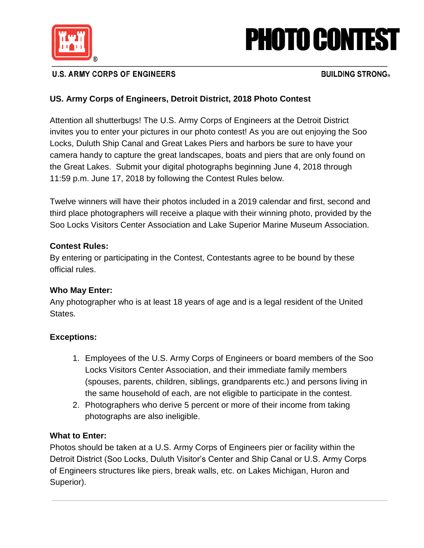

# PHOTO CONTEST

# **U.S. ARMY CORPS OF ENGINEERS**

## **BUILDING STRONG**

## **US. Army Corps of Engineers, Detroit District, 2018 Photo Contest**

Attention all shutterbugs! The U.S. Army Corps of Engineers at the Detroit District invites you to enter your pictures in our photo contest! As you are out enjoying the Soo Locks, Duluth Ship Canal and Great Lakes Piers and harbors be sure to have your camera handy to capture the great landscapes, boats and piers that are only found on the Great Lakes. Submit your digital photographs beginning June 4, 2018 through 11:59 p.m. June 17, 2018 by following the Contest Rules below.

Twelve winners will have their photos included in a 2019 calendar and first, second and third place photographers will receive a plaque with their winning photo, provided by the Soo Locks Visitors Center Association and Lake Superior Marine Museum Association.

#### **Contest Rules:**

By entering or participating in the Contest, Contestants agree to be bound by these official rules.

### **Who May Enter:**

Any photographer who is at least 18 years of age and is a legal resident of the United States.

### **Exceptions:**

- 1. Employees of the U.S. Army Corps of Engineers or board members of the Soo Locks Visitors Center Association, and their immediate family members (spouses, parents, children, siblings, grandparents etc.) and persons living in the same household of each, are not eligible to participate in the contest.
- 2. Photographers who derive 5 percent or more of their income from taking photographs are also ineligible.

### **What to Enter:**

Photos should be taken at a U.S. Army Corps of Engineers pier or facility within the Detroit District (Soo Locks, Duluth Visitor's Center and Ship Canal or U.S. Army Corps of Engineers structures like piers, break walls, etc. on Lakes Michigan, Huron and Superior).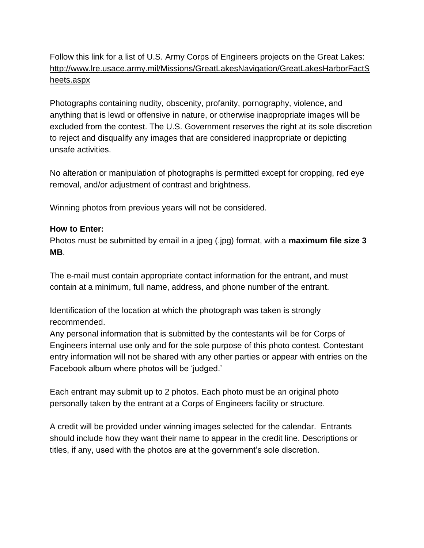Follow this link for a list of U.S. Army Corps of Engineers projects on the Great Lakes: [http://www.lre.usace.army.mil/Missions/GreatLakesNavigation/GreatLakesHarborFactS](http://www.lre.usace.army.mil/Missions/GreatLakesNavigation/GreatLakesHarborFactSheets.aspx) [heets.aspx](http://www.lre.usace.army.mil/Missions/GreatLakesNavigation/GreatLakesHarborFactSheets.aspx)

Photographs containing nudity, obscenity, profanity, pornography, violence, and anything that is lewd or offensive in nature, or otherwise inappropriate images will be excluded from the contest. The U.S. Government reserves the right at its sole discretion to reject and disqualify any images that are considered inappropriate or depicting unsafe activities.

No alteration or manipulation of photographs is permitted except for cropping, red eye removal, and/or adjustment of contrast and brightness.

Winning photos from previous years will not be considered.

#### **How to Enter:**

Photos must be submitted by email in a jpeg (.jpg) format, with a **maximum file size 3 MB**.

The e-mail must contain appropriate contact information for the entrant, and must contain at a minimum, full name, address, and phone number of the entrant.

Identification of the location at which the photograph was taken is strongly recommended.

Any personal information that is submitted by the contestants will be for Corps of Engineers internal use only and for the sole purpose of this photo contest. Contestant entry information will not be shared with any other parties or appear with entries on the Facebook album where photos will be 'judged.'

Each entrant may submit up to 2 photos. Each photo must be an original photo personally taken by the entrant at a Corps of Engineers facility or structure.

A credit will be provided under winning images selected for the calendar. Entrants should include how they want their name to appear in the credit line. Descriptions or titles, if any, used with the photos are at the government's sole discretion.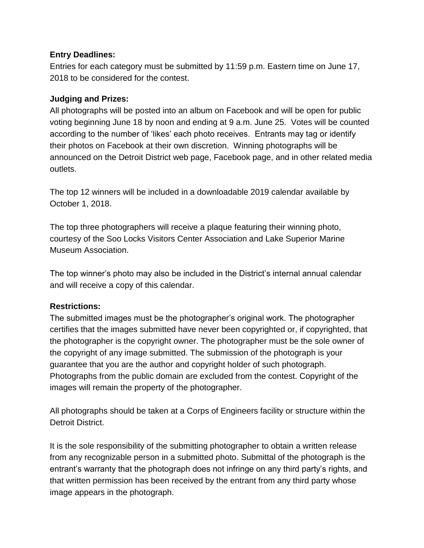#### **Entry Deadlines:**

Entries for each category must be submitted by 11:59 p.m. Eastern time on June 17, 2018 to be considered for the contest.

### **Judging and Prizes:**

All photographs will be posted into an album on Facebook and will be open for public voting beginning June 18 by noon and ending at 9 a.m. June 25. Votes will be counted according to the number of 'likes' each photo receives. Entrants may tag or identify their photos on Facebook at their own discretion. Winning photographs will be announced on the Detroit District web page, Facebook page, and in other related media outlets.

The top 12 winners will be included in a downloadable 2019 calendar available by October 1, 2018.

The top three photographers will receive a plaque featuring their winning photo, courtesy of the Soo Locks Visitors Center Association and Lake Superior Marine Museum Association.

The top winner's photo may also be included in the District's internal annual calendar and will receive a copy of this calendar.

### **Restrictions:**

The submitted images must be the photographer's original work. The photographer certifies that the images submitted have never been copyrighted or, if copyrighted, that the photographer is the copyright owner. The photographer must be the sole owner of the copyright of any image submitted. The submission of the photograph is your guarantee that you are the author and copyright holder of such photograph. Photographs from the public domain are excluded from the contest. Copyright of the images will remain the property of the photographer.

All photographs should be taken at a Corps of Engineers facility or structure within the Detroit District.

It is the sole responsibility of the submitting photographer to obtain a written release from any recognizable person in a submitted photo. Submittal of the photograph is the entrant's warranty that the photograph does not infringe on any third party's rights, and that written permission has been received by the entrant from any third party whose image appears in the photograph.